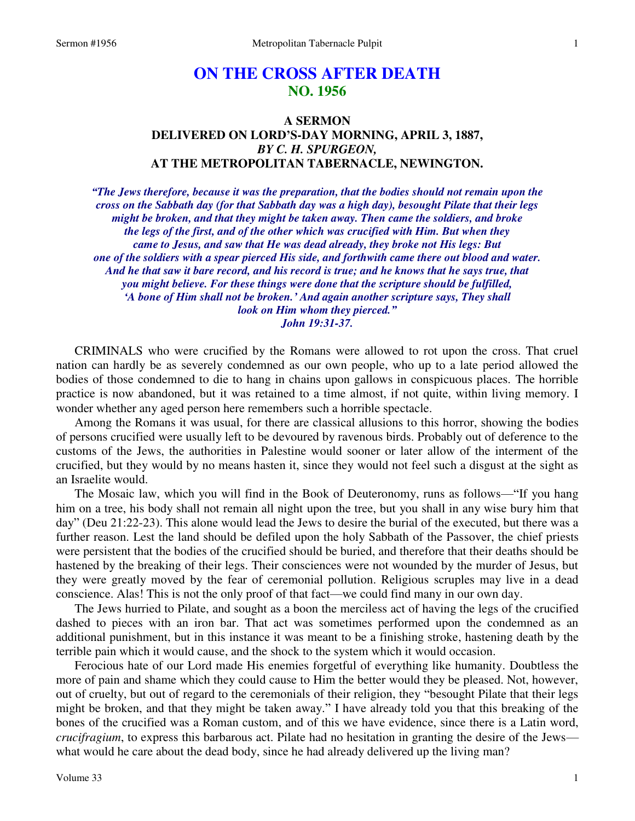# **ON THE CROSS AFTER DEATH NO. 1956**

# **A SERMON DELIVERED ON LORD'S-DAY MORNING, APRIL 3, 1887,**  *BY C. H. SPURGEON,*  **AT THE METROPOLITAN TABERNACLE, NEWINGTON.**

*"The Jews therefore, because it was the preparation, that the bodies should not remain upon the cross on the Sabbath day (for that Sabbath day was a high day), besought Pilate that their legs might be broken, and that they might be taken away. Then came the soldiers, and broke the legs of the first, and of the other which was crucified with Him. But when they came to Jesus, and saw that He was dead already, they broke not His legs: But one of the soldiers with a spear pierced His side, and forthwith came there out blood and water. And he that saw it bare record, and his record is true; and he knows that he says true, that you might believe. For these things were done that the scripture should be fulfilled, 'A bone of Him shall not be broken.' And again another scripture says, They shall look on Him whom they pierced." John 19:31-37.* 

CRIMINALS who were crucified by the Romans were allowed to rot upon the cross. That cruel nation can hardly be as severely condemned as our own people, who up to a late period allowed the bodies of those condemned to die to hang in chains upon gallows in conspicuous places. The horrible practice is now abandoned, but it was retained to a time almost, if not quite, within living memory. I wonder whether any aged person here remembers such a horrible spectacle.

Among the Romans it was usual, for there are classical allusions to this horror, showing the bodies of persons crucified were usually left to be devoured by ravenous birds. Probably out of deference to the customs of the Jews, the authorities in Palestine would sooner or later allow of the interment of the crucified, but they would by no means hasten it, since they would not feel such a disgust at the sight as an Israelite would.

The Mosaic law, which you will find in the Book of Deuteronomy, runs as follows—"If you hang him on a tree, his body shall not remain all night upon the tree, but you shall in any wise bury him that day" (Deu 21:22-23). This alone would lead the Jews to desire the burial of the executed, but there was a further reason. Lest the land should be defiled upon the holy Sabbath of the Passover, the chief priests were persistent that the bodies of the crucified should be buried, and therefore that their deaths should be hastened by the breaking of their legs. Their consciences were not wounded by the murder of Jesus, but they were greatly moved by the fear of ceremonial pollution. Religious scruples may live in a dead conscience. Alas! This is not the only proof of that fact—we could find many in our own day.

The Jews hurried to Pilate, and sought as a boon the merciless act of having the legs of the crucified dashed to pieces with an iron bar. That act was sometimes performed upon the condemned as an additional punishment, but in this instance it was meant to be a finishing stroke, hastening death by the terrible pain which it would cause, and the shock to the system which it would occasion.

Ferocious hate of our Lord made His enemies forgetful of everything like humanity. Doubtless the more of pain and shame which they could cause to Him the better would they be pleased. Not, however, out of cruelty, but out of regard to the ceremonials of their religion, they "besought Pilate that their legs might be broken, and that they might be taken away." I have already told you that this breaking of the bones of the crucified was a Roman custom, and of this we have evidence, since there is a Latin word, *crucifragium*, to express this barbarous act. Pilate had no hesitation in granting the desire of the Jews what would he care about the dead body, since he had already delivered up the living man?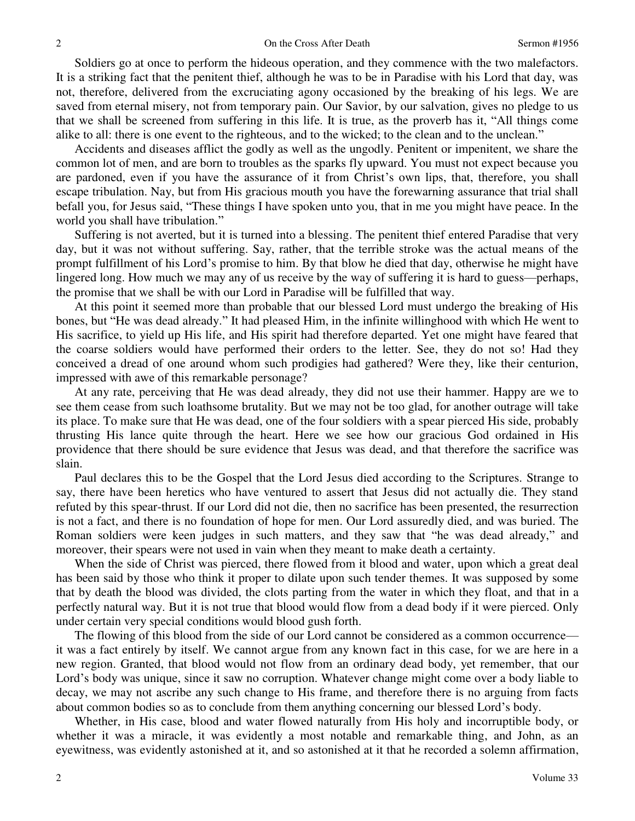Soldiers go at once to perform the hideous operation, and they commence with the two malefactors. It is a striking fact that the penitent thief, although he was to be in Paradise with his Lord that day, was not, therefore, delivered from the excruciating agony occasioned by the breaking of his legs. We are saved from eternal misery, not from temporary pain. Our Savior, by our salvation, gives no pledge to us that we shall be screened from suffering in this life. It is true, as the proverb has it, "All things come alike to all: there is one event to the righteous, and to the wicked; to the clean and to the unclean."

Accidents and diseases afflict the godly as well as the ungodly. Penitent or impenitent, we share the common lot of men, and are born to troubles as the sparks fly upward. You must not expect because you are pardoned, even if you have the assurance of it from Christ's own lips, that, therefore, you shall escape tribulation. Nay, but from His gracious mouth you have the forewarning assurance that trial shall befall you, for Jesus said, "These things I have spoken unto you, that in me you might have peace. In the world you shall have tribulation."

Suffering is not averted, but it is turned into a blessing. The penitent thief entered Paradise that very day, but it was not without suffering. Say, rather, that the terrible stroke was the actual means of the prompt fulfillment of his Lord's promise to him. By that blow he died that day, otherwise he might have lingered long. How much we may any of us receive by the way of suffering it is hard to guess—perhaps, the promise that we shall be with our Lord in Paradise will be fulfilled that way.

At this point it seemed more than probable that our blessed Lord must undergo the breaking of His bones, but "He was dead already." It had pleased Him, in the infinite willinghood with which He went to His sacrifice, to yield up His life, and His spirit had therefore departed. Yet one might have feared that the coarse soldiers would have performed their orders to the letter. See, they do not so! Had they conceived a dread of one around whom such prodigies had gathered? Were they, like their centurion, impressed with awe of this remarkable personage?

At any rate, perceiving that He was dead already, they did not use their hammer. Happy are we to see them cease from such loathsome brutality. But we may not be too glad, for another outrage will take its place. To make sure that He was dead, one of the four soldiers with a spear pierced His side, probably thrusting His lance quite through the heart. Here we see how our gracious God ordained in His providence that there should be sure evidence that Jesus was dead, and that therefore the sacrifice was slain.

Paul declares this to be the Gospel that the Lord Jesus died according to the Scriptures. Strange to say, there have been heretics who have ventured to assert that Jesus did not actually die. They stand refuted by this spear-thrust. If our Lord did not die, then no sacrifice has been presented, the resurrection is not a fact, and there is no foundation of hope for men. Our Lord assuredly died, and was buried. The Roman soldiers were keen judges in such matters, and they saw that "he was dead already," and moreover, their spears were not used in vain when they meant to make death a certainty.

When the side of Christ was pierced, there flowed from it blood and water, upon which a great deal has been said by those who think it proper to dilate upon such tender themes. It was supposed by some that by death the blood was divided, the clots parting from the water in which they float, and that in a perfectly natural way. But it is not true that blood would flow from a dead body if it were pierced. Only under certain very special conditions would blood gush forth.

The flowing of this blood from the side of our Lord cannot be considered as a common occurrence it was a fact entirely by itself. We cannot argue from any known fact in this case, for we are here in a new region. Granted, that blood would not flow from an ordinary dead body, yet remember, that our Lord's body was unique, since it saw no corruption. Whatever change might come over a body liable to decay, we may not ascribe any such change to His frame, and therefore there is no arguing from facts about common bodies so as to conclude from them anything concerning our blessed Lord's body.

Whether, in His case, blood and water flowed naturally from His holy and incorruptible body, or whether it was a miracle, it was evidently a most notable and remarkable thing, and John, as an eyewitness, was evidently astonished at it, and so astonished at it that he recorded a solemn affirmation,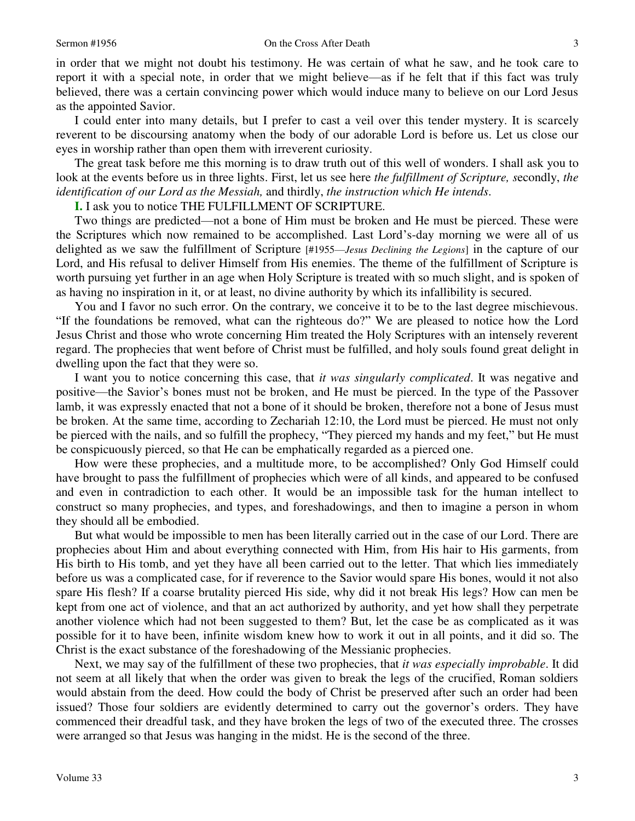in order that we might not doubt his testimony. He was certain of what he saw, and he took care to report it with a special note, in order that we might believe—as if he felt that if this fact was truly believed, there was a certain convincing power which would induce many to believe on our Lord Jesus as the appointed Savior.

I could enter into many details, but I prefer to cast a veil over this tender mystery. It is scarcely reverent to be discoursing anatomy when the body of our adorable Lord is before us. Let us close our eyes in worship rather than open them with irreverent curiosity.

The great task before me this morning is to draw truth out of this well of wonders. I shall ask you to look at the events before us in three lights. First, let us see here *the fulfillment of Scripture, s*econdly, *the identification of our Lord as the Messiah,* and thirdly, *the instruction which He intends*.

**I.** I ask you to notice THE FULFILLMENT OF SCRIPTURE.

Two things are predicted—not a bone of Him must be broken and He must be pierced. These were the Scriptures which now remained to be accomplished. Last Lord's-day morning we were all of us delighted as we saw the fulfillment of Scripture [#1955—*Jesus Declining the Legions*] in the capture of our Lord, and His refusal to deliver Himself from His enemies. The theme of the fulfillment of Scripture is worth pursuing yet further in an age when Holy Scripture is treated with so much slight, and is spoken of as having no inspiration in it, or at least, no divine authority by which its infallibility is secured.

You and I favor no such error. On the contrary, we conceive it to be to the last degree mischievous. "If the foundations be removed, what can the righteous do?" We are pleased to notice how the Lord Jesus Christ and those who wrote concerning Him treated the Holy Scriptures with an intensely reverent regard. The prophecies that went before of Christ must be fulfilled, and holy souls found great delight in dwelling upon the fact that they were so.

I want you to notice concerning this case, that *it was singularly complicated*. It was negative and positive—the Savior's bones must not be broken, and He must be pierced. In the type of the Passover lamb, it was expressly enacted that not a bone of it should be broken, therefore not a bone of Jesus must be broken. At the same time, according to Zechariah 12:10, the Lord must be pierced. He must not only be pierced with the nails, and so fulfill the prophecy, "They pierced my hands and my feet," but He must be conspicuously pierced, so that He can be emphatically regarded as a pierced one.

How were these prophecies, and a multitude more, to be accomplished? Only God Himself could have brought to pass the fulfillment of prophecies which were of all kinds, and appeared to be confused and even in contradiction to each other. It would be an impossible task for the human intellect to construct so many prophecies, and types, and foreshadowings, and then to imagine a person in whom they should all be embodied.

But what would be impossible to men has been literally carried out in the case of our Lord. There are prophecies about Him and about everything connected with Him, from His hair to His garments, from His birth to His tomb, and yet they have all been carried out to the letter. That which lies immediately before us was a complicated case, for if reverence to the Savior would spare His bones, would it not also spare His flesh? If a coarse brutality pierced His side, why did it not break His legs? How can men be kept from one act of violence, and that an act authorized by authority, and yet how shall they perpetrate another violence which had not been suggested to them? But, let the case be as complicated as it was possible for it to have been, infinite wisdom knew how to work it out in all points, and it did so. The Christ is the exact substance of the foreshadowing of the Messianic prophecies.

Next, we may say of the fulfillment of these two prophecies, that *it was especially improbable*. It did not seem at all likely that when the order was given to break the legs of the crucified, Roman soldiers would abstain from the deed. How could the body of Christ be preserved after such an order had been issued? Those four soldiers are evidently determined to carry out the governor's orders. They have commenced their dreadful task, and they have broken the legs of two of the executed three. The crosses were arranged so that Jesus was hanging in the midst. He is the second of the three.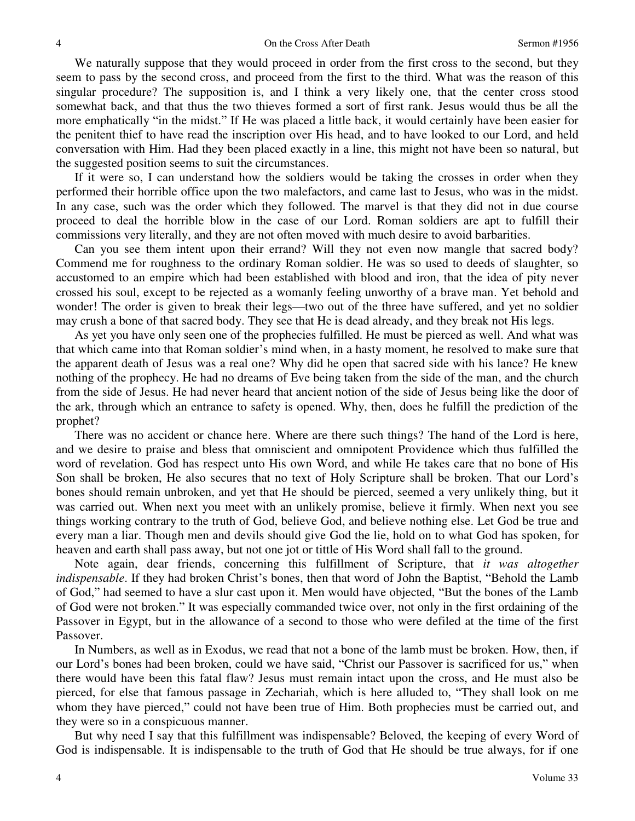We naturally suppose that they would proceed in order from the first cross to the second, but they seem to pass by the second cross, and proceed from the first to the third. What was the reason of this singular procedure? The supposition is, and I think a very likely one, that the center cross stood somewhat back, and that thus the two thieves formed a sort of first rank. Jesus would thus be all the more emphatically "in the midst." If He was placed a little back, it would certainly have been easier for the penitent thief to have read the inscription over His head, and to have looked to our Lord, and held conversation with Him. Had they been placed exactly in a line, this might not have been so natural, but the suggested position seems to suit the circumstances.

If it were so, I can understand how the soldiers would be taking the crosses in order when they performed their horrible office upon the two malefactors, and came last to Jesus, who was in the midst. In any case, such was the order which they followed. The marvel is that they did not in due course proceed to deal the horrible blow in the case of our Lord. Roman soldiers are apt to fulfill their commissions very literally, and they are not often moved with much desire to avoid barbarities.

Can you see them intent upon their errand? Will they not even now mangle that sacred body? Commend me for roughness to the ordinary Roman soldier. He was so used to deeds of slaughter, so accustomed to an empire which had been established with blood and iron, that the idea of pity never crossed his soul, except to be rejected as a womanly feeling unworthy of a brave man. Yet behold and wonder! The order is given to break their legs—two out of the three have suffered, and yet no soldier may crush a bone of that sacred body. They see that He is dead already, and they break not His legs.

As yet you have only seen one of the prophecies fulfilled. He must be pierced as well. And what was that which came into that Roman soldier's mind when, in a hasty moment, he resolved to make sure that the apparent death of Jesus was a real one? Why did he open that sacred side with his lance? He knew nothing of the prophecy. He had no dreams of Eve being taken from the side of the man, and the church from the side of Jesus. He had never heard that ancient notion of the side of Jesus being like the door of the ark, through which an entrance to safety is opened. Why, then, does he fulfill the prediction of the prophet?

There was no accident or chance here. Where are there such things? The hand of the Lord is here, and we desire to praise and bless that omniscient and omnipotent Providence which thus fulfilled the word of revelation. God has respect unto His own Word, and while He takes care that no bone of His Son shall be broken, He also secures that no text of Holy Scripture shall be broken. That our Lord's bones should remain unbroken, and yet that He should be pierced, seemed a very unlikely thing, but it was carried out. When next you meet with an unlikely promise, believe it firmly. When next you see things working contrary to the truth of God, believe God, and believe nothing else. Let God be true and every man a liar. Though men and devils should give God the lie, hold on to what God has spoken, for heaven and earth shall pass away, but not one jot or tittle of His Word shall fall to the ground.

Note again, dear friends, concerning this fulfillment of Scripture, that *it was altogether indispensable*. If they had broken Christ's bones, then that word of John the Baptist, "Behold the Lamb of God," had seemed to have a slur cast upon it. Men would have objected, "But the bones of the Lamb of God were not broken." It was especially commanded twice over, not only in the first ordaining of the Passover in Egypt, but in the allowance of a second to those who were defiled at the time of the first Passover.

In Numbers, as well as in Exodus, we read that not a bone of the lamb must be broken. How, then, if our Lord's bones had been broken, could we have said, "Christ our Passover is sacrificed for us," when there would have been this fatal flaw? Jesus must remain intact upon the cross, and He must also be pierced, for else that famous passage in Zechariah, which is here alluded to, "They shall look on me whom they have pierced," could not have been true of Him. Both prophecies must be carried out, and they were so in a conspicuous manner.

But why need I say that this fulfillment was indispensable? Beloved, the keeping of every Word of God is indispensable. It is indispensable to the truth of God that He should be true always, for if one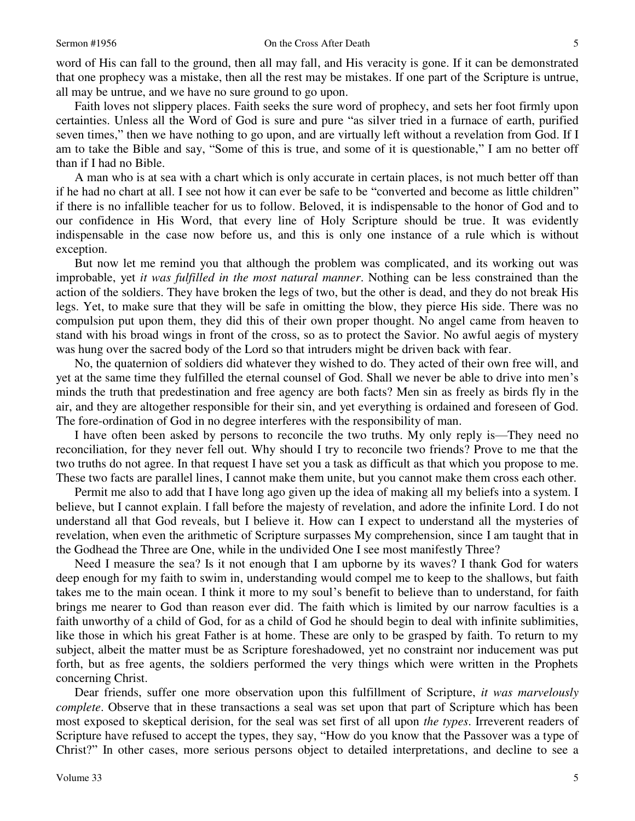word of His can fall to the ground, then all may fall, and His veracity is gone. If it can be demonstrated that one prophecy was a mistake, then all the rest may be mistakes. If one part of the Scripture is untrue, all may be untrue, and we have no sure ground to go upon.

Faith loves not slippery places. Faith seeks the sure word of prophecy, and sets her foot firmly upon certainties. Unless all the Word of God is sure and pure "as silver tried in a furnace of earth, purified seven times," then we have nothing to go upon, and are virtually left without a revelation from God. If I am to take the Bible and say, "Some of this is true, and some of it is questionable," I am no better off than if I had no Bible.

A man who is at sea with a chart which is only accurate in certain places, is not much better off than if he had no chart at all. I see not how it can ever be safe to be "converted and become as little children" if there is no infallible teacher for us to follow. Beloved, it is indispensable to the honor of God and to our confidence in His Word, that every line of Holy Scripture should be true. It was evidently indispensable in the case now before us, and this is only one instance of a rule which is without exception.

But now let me remind you that although the problem was complicated, and its working out was improbable, yet *it was fulfilled in the most natural manner*. Nothing can be less constrained than the action of the soldiers. They have broken the legs of two, but the other is dead, and they do not break His legs. Yet, to make sure that they will be safe in omitting the blow, they pierce His side. There was no compulsion put upon them, they did this of their own proper thought. No angel came from heaven to stand with his broad wings in front of the cross, so as to protect the Savior. No awful aegis of mystery was hung over the sacred body of the Lord so that intruders might be driven back with fear.

No, the quaternion of soldiers did whatever they wished to do. They acted of their own free will, and yet at the same time they fulfilled the eternal counsel of God. Shall we never be able to drive into men's minds the truth that predestination and free agency are both facts? Men sin as freely as birds fly in the air, and they are altogether responsible for their sin, and yet everything is ordained and foreseen of God. The fore-ordination of God in no degree interferes with the responsibility of man.

I have often been asked by persons to reconcile the two truths. My only reply is—They need no reconciliation, for they never fell out. Why should I try to reconcile two friends? Prove to me that the two truths do not agree. In that request I have set you a task as difficult as that which you propose to me. These two facts are parallel lines, I cannot make them unite, but you cannot make them cross each other.

Permit me also to add that I have long ago given up the idea of making all my beliefs into a system. I believe, but I cannot explain. I fall before the majesty of revelation, and adore the infinite Lord. I do not understand all that God reveals, but I believe it. How can I expect to understand all the mysteries of revelation, when even the arithmetic of Scripture surpasses My comprehension, since I am taught that in the Godhead the Three are One, while in the undivided One I see most manifestly Three?

Need I measure the sea? Is it not enough that I am upborne by its waves? I thank God for waters deep enough for my faith to swim in, understanding would compel me to keep to the shallows, but faith takes me to the main ocean. I think it more to my soul's benefit to believe than to understand, for faith brings me nearer to God than reason ever did. The faith which is limited by our narrow faculties is a faith unworthy of a child of God, for as a child of God he should begin to deal with infinite sublimities, like those in which his great Father is at home. These are only to be grasped by faith. To return to my subject, albeit the matter must be as Scripture foreshadowed, yet no constraint nor inducement was put forth, but as free agents, the soldiers performed the very things which were written in the Prophets concerning Christ.

Dear friends, suffer one more observation upon this fulfillment of Scripture, *it was marvelously complete*. Observe that in these transactions a seal was set upon that part of Scripture which has been most exposed to skeptical derision, for the seal was set first of all upon *the types*. Irreverent readers of Scripture have refused to accept the types, they say, "How do you know that the Passover was a type of Christ?" In other cases, more serious persons object to detailed interpretations, and decline to see a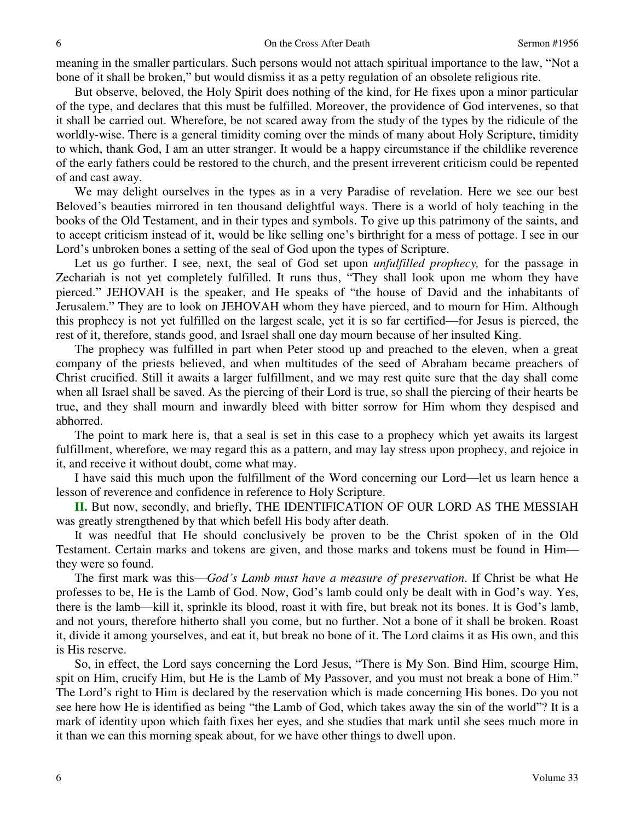meaning in the smaller particulars. Such persons would not attach spiritual importance to the law, "Not a bone of it shall be broken," but would dismiss it as a petty regulation of an obsolete religious rite.

But observe, beloved, the Holy Spirit does nothing of the kind, for He fixes upon a minor particular of the type, and declares that this must be fulfilled. Moreover, the providence of God intervenes, so that it shall be carried out. Wherefore, be not scared away from the study of the types by the ridicule of the worldly-wise. There is a general timidity coming over the minds of many about Holy Scripture, timidity to which, thank God, I am an utter stranger. It would be a happy circumstance if the childlike reverence of the early fathers could be restored to the church, and the present irreverent criticism could be repented of and cast away.

We may delight ourselves in the types as in a very Paradise of revelation. Here we see our best Beloved's beauties mirrored in ten thousand delightful ways. There is a world of holy teaching in the books of the Old Testament, and in their types and symbols. To give up this patrimony of the saints, and to accept criticism instead of it, would be like selling one's birthright for a mess of pottage. I see in our Lord's unbroken bones a setting of the seal of God upon the types of Scripture.

Let us go further. I see, next, the seal of God set upon *unfulfilled prophecy,* for the passage in Zechariah is not yet completely fulfilled. It runs thus, "They shall look upon me whom they have pierced." JEHOVAH is the speaker, and He speaks of "the house of David and the inhabitants of Jerusalem." They are to look on JEHOVAH whom they have pierced, and to mourn for Him. Although this prophecy is not yet fulfilled on the largest scale, yet it is so far certified—for Jesus is pierced, the rest of it, therefore, stands good, and Israel shall one day mourn because of her insulted King.

The prophecy was fulfilled in part when Peter stood up and preached to the eleven, when a great company of the priests believed, and when multitudes of the seed of Abraham became preachers of Christ crucified. Still it awaits a larger fulfillment, and we may rest quite sure that the day shall come when all Israel shall be saved. As the piercing of their Lord is true, so shall the piercing of their hearts be true, and they shall mourn and inwardly bleed with bitter sorrow for Him whom they despised and abhorred.

The point to mark here is, that a seal is set in this case to a prophecy which yet awaits its largest fulfillment, wherefore, we may regard this as a pattern, and may lay stress upon prophecy, and rejoice in it, and receive it without doubt, come what may.

I have said this much upon the fulfillment of the Word concerning our Lord—let us learn hence a lesson of reverence and confidence in reference to Holy Scripture.

**II.** But now, secondly, and briefly, THE IDENTIFICATION OF OUR LORD AS THE MESSIAH was greatly strengthened by that which befell His body after death.

It was needful that He should conclusively be proven to be the Christ spoken of in the Old Testament. Certain marks and tokens are given, and those marks and tokens must be found in Him they were so found.

The first mark was this—*God's Lamb must have a measure of preservation*. If Christ be what He professes to be, He is the Lamb of God. Now, God's lamb could only be dealt with in God's way. Yes, there is the lamb—kill it, sprinkle its blood, roast it with fire, but break not its bones. It is God's lamb, and not yours, therefore hitherto shall you come, but no further. Not a bone of it shall be broken. Roast it, divide it among yourselves, and eat it, but break no bone of it. The Lord claims it as His own, and this is His reserve.

So, in effect, the Lord says concerning the Lord Jesus, "There is My Son. Bind Him, scourge Him, spit on Him, crucify Him, but He is the Lamb of My Passover, and you must not break a bone of Him." The Lord's right to Him is declared by the reservation which is made concerning His bones. Do you not see here how He is identified as being "the Lamb of God, which takes away the sin of the world"? It is a mark of identity upon which faith fixes her eyes, and she studies that mark until she sees much more in it than we can this morning speak about, for we have other things to dwell upon.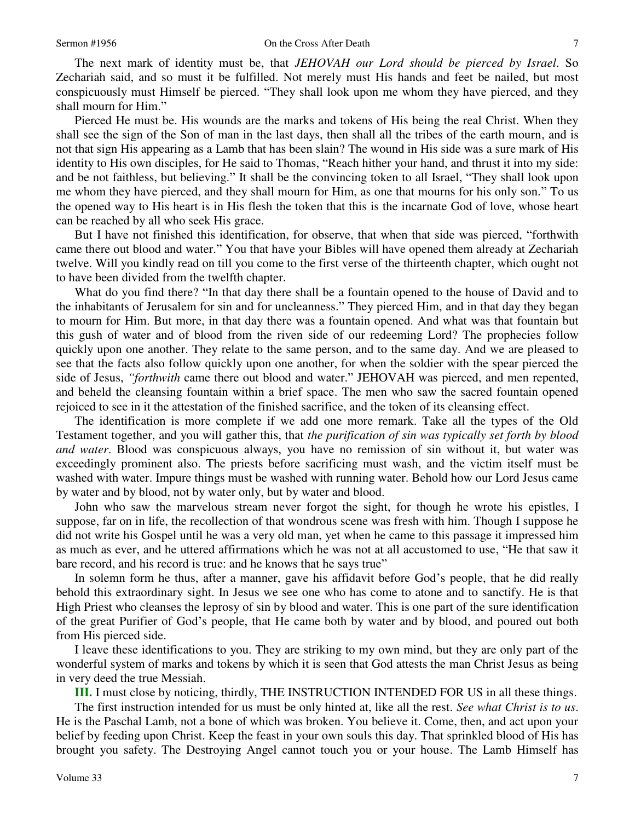The next mark of identity must be, that *JEHOVAH our Lord should be pierced by Israel*. So Zechariah said, and so must it be fulfilled. Not merely must His hands and feet be nailed, but most conspicuously must Himself be pierced. "They shall look upon me whom they have pierced, and they shall mourn for Him."

Pierced He must be. His wounds are the marks and tokens of His being the real Christ. When they shall see the sign of the Son of man in the last days, then shall all the tribes of the earth mourn, and is not that sign His appearing as a Lamb that has been slain? The wound in His side was a sure mark of His identity to His own disciples, for He said to Thomas, "Reach hither your hand, and thrust it into my side: and be not faithless, but believing." It shall be the convincing token to all Israel, "They shall look upon me whom they have pierced, and they shall mourn for Him, as one that mourns for his only son." To us the opened way to His heart is in His flesh the token that this is the incarnate God of love, whose heart can be reached by all who seek His grace.

But I have not finished this identification, for observe, that when that side was pierced, "forthwith came there out blood and water." You that have your Bibles will have opened them already at Zechariah twelve. Will you kindly read on till you come to the first verse of the thirteenth chapter, which ought not to have been divided from the twelfth chapter.

What do you find there? "In that day there shall be a fountain opened to the house of David and to the inhabitants of Jerusalem for sin and for uncleanness." They pierced Him, and in that day they began to mourn for Him. But more, in that day there was a fountain opened. And what was that fountain but this gush of water and of blood from the riven side of our redeeming Lord? The prophecies follow quickly upon one another. They relate to the same person, and to the same day. And we are pleased to see that the facts also follow quickly upon one another, for when the soldier with the spear pierced the side of Jesus, *"forthwith* came there out blood and water." JEHOVAH was pierced, and men repented, and beheld the cleansing fountain within a brief space. The men who saw the sacred fountain opened rejoiced to see in it the attestation of the finished sacrifice, and the token of its cleansing effect.

The identification is more complete if we add one more remark. Take all the types of the Old Testament together, and you will gather this, that *the purification of sin was typically set forth by blood and water*. Blood was conspicuous always, you have no remission of sin without it, but water was exceedingly prominent also. The priests before sacrificing must wash, and the victim itself must be washed with water. Impure things must be washed with running water. Behold how our Lord Jesus came by water and by blood, not by water only, but by water and blood.

John who saw the marvelous stream never forgot the sight, for though he wrote his epistles, I suppose, far on in life, the recollection of that wondrous scene was fresh with him. Though I suppose he did not write his Gospel until he was a very old man, yet when he came to this passage it impressed him as much as ever, and he uttered affirmations which he was not at all accustomed to use, "He that saw it bare record, and his record is true: and he knows that he says true"

In solemn form he thus, after a manner, gave his affidavit before God's people, that he did really behold this extraordinary sight. In Jesus we see one who has come to atone and to sanctify. He is that High Priest who cleanses the leprosy of sin by blood and water. This is one part of the sure identification of the great Purifier of God's people, that He came both by water and by blood, and poured out both from His pierced side.

I leave these identifications to you. They are striking to my own mind, but they are only part of the wonderful system of marks and tokens by which it is seen that God attests the man Christ Jesus as being in very deed the true Messiah.

**III.** I must close by noticing, thirdly, THE INSTRUCTION INTENDED FOR US in all these things.

The first instruction intended for us must be only hinted at, like all the rest. *See what Christ is to us*. He is the Paschal Lamb, not a bone of which was broken. You believe it. Come, then, and act upon your belief by feeding upon Christ. Keep the feast in your own souls this day. That sprinkled blood of His has brought you safety. The Destroying Angel cannot touch you or your house. The Lamb Himself has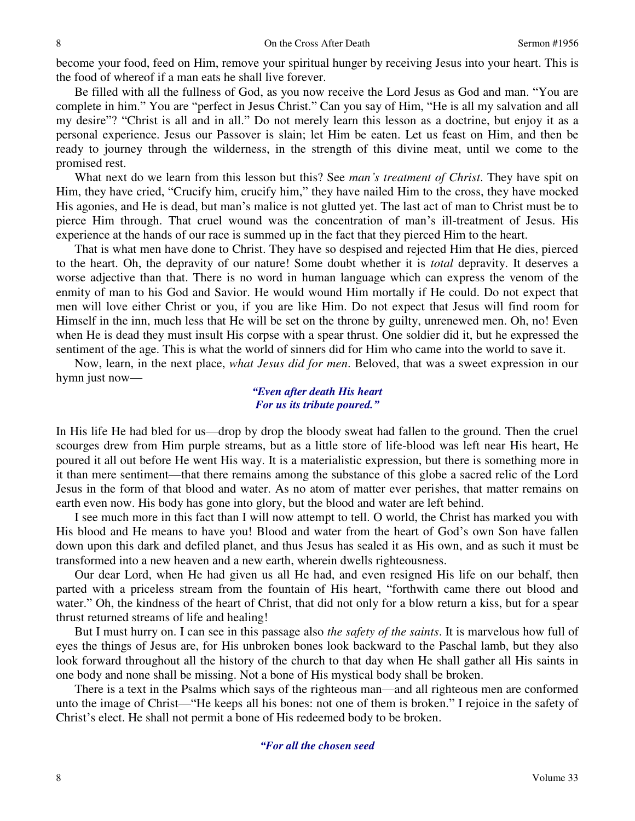become your food, feed on Him, remove your spiritual hunger by receiving Jesus into your heart. This is the food of whereof if a man eats he shall live forever.

Be filled with all the fullness of God, as you now receive the Lord Jesus as God and man. "You are complete in him." You are "perfect in Jesus Christ." Can you say of Him, "He is all my salvation and all my desire"? "Christ is all and in all." Do not merely learn this lesson as a doctrine, but enjoy it as a personal experience. Jesus our Passover is slain; let Him be eaten. Let us feast on Him, and then be ready to journey through the wilderness, in the strength of this divine meat, until we come to the promised rest.

What next do we learn from this lesson but this? See *man's treatment of Christ*. They have spit on Him, they have cried, "Crucify him, crucify him," they have nailed Him to the cross, they have mocked His agonies, and He is dead, but man's malice is not glutted yet. The last act of man to Christ must be to pierce Him through. That cruel wound was the concentration of man's ill-treatment of Jesus. His experience at the hands of our race is summed up in the fact that they pierced Him to the heart.

That is what men have done to Christ. They have so despised and rejected Him that He dies, pierced to the heart. Oh, the depravity of our nature! Some doubt whether it is *total* depravity. It deserves a worse adjective than that. There is no word in human language which can express the venom of the enmity of man to his God and Savior. He would wound Him mortally if He could. Do not expect that men will love either Christ or you, if you are like Him. Do not expect that Jesus will find room for Himself in the inn, much less that He will be set on the throne by guilty, unrenewed men. Oh, no! Even when He is dead they must insult His corpse with a spear thrust. One soldier did it, but he expressed the sentiment of the age. This is what the world of sinners did for Him who came into the world to save it.

Now, learn, in the next place, *what Jesus did for men*. Beloved, that was a sweet expression in our hymn just now—

### *"Even after death His heart For us its tribute poured."*

In His life He had bled for us—drop by drop the bloody sweat had fallen to the ground. Then the cruel scourges drew from Him purple streams, but as a little store of life-blood was left near His heart, He poured it all out before He went His way. It is a materialistic expression, but there is something more in it than mere sentiment—that there remains among the substance of this globe a sacred relic of the Lord Jesus in the form of that blood and water. As no atom of matter ever perishes, that matter remains on earth even now. His body has gone into glory, but the blood and water are left behind.

I see much more in this fact than I will now attempt to tell. O world, the Christ has marked you with His blood and He means to have you! Blood and water from the heart of God's own Son have fallen down upon this dark and defiled planet, and thus Jesus has sealed it as His own, and as such it must be transformed into a new heaven and a new earth, wherein dwells righteousness.

Our dear Lord, when He had given us all He had, and even resigned His life on our behalf, then parted with a priceless stream from the fountain of His heart, "forthwith came there out blood and water." Oh, the kindness of the heart of Christ, that did not only for a blow return a kiss, but for a spear thrust returned streams of life and healing!

But I must hurry on. I can see in this passage also *the safety of the saints*. It is marvelous how full of eyes the things of Jesus are, for His unbroken bones look backward to the Paschal lamb, but they also look forward throughout all the history of the church to that day when He shall gather all His saints in one body and none shall be missing. Not a bone of His mystical body shall be broken.

There is a text in the Psalms which says of the righteous man—and all righteous men are conformed unto the image of Christ—"He keeps all his bones: not one of them is broken." I rejoice in the safety of Christ's elect. He shall not permit a bone of His redeemed body to be broken.

#### *"For all the chosen seed*